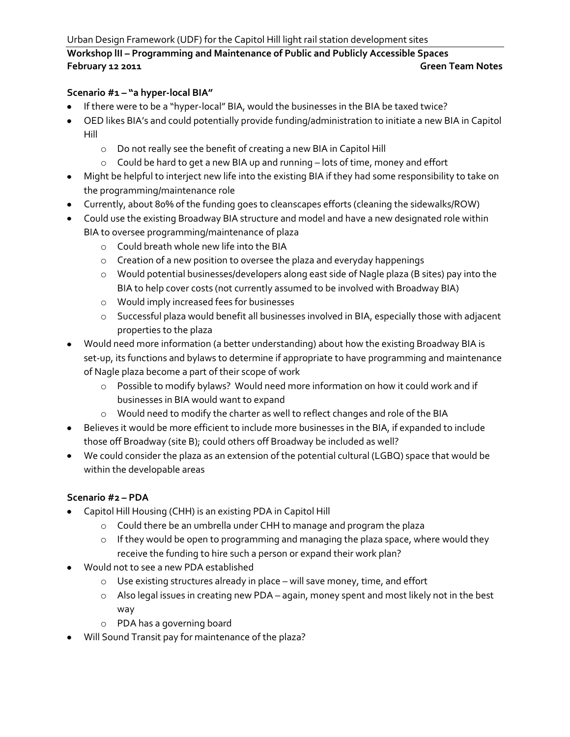Urban Design Framework (UDF) for the Capitol Hill light rail station development sites

# **Workshop lII – Programming and Maintenance of Public and Publicly Accessible Spaces February 12 2011 Green Team Notes**

#### **Scenario #1 – "a hyper-local BIA"**

- If there were to be a "hyper-local" BIA, would the businesses in the BIA be taxed twice?
- OED likes BIA's and could potentially provide funding/administration to initiate a new BIA in Capitol Hill
	- o Do not really see the benefit of creating a new BIA in Capitol Hill
	- o Could be hard to get a new BIA up and running lots of time, money and effort
- Might be helpful to interject new life into the existing BIA if they had some responsibility to take on the programming/maintenance role
- Currently, about 80% of the funding goes to cleanscapes efforts (cleaning the sidewalks/ROW)
- Could use the existing Broadway BIA structure and model and have a new designated role within BIA to oversee programming/maintenance of plaza
	- o Could breath whole new life into the BIA
	- o Creation of a new position to oversee the plaza and everyday happenings
	- o Would potential businesses/developers along east side of Nagle plaza (B sites) pay into the BIA to help cover costs (not currently assumed to be involved with Broadway BIA)
	- o Would imply increased fees for businesses
	- o Successful plaza would benefit all businesses involved in BIA, especially those with adjacent properties to the plaza
- Would need more information (a better understanding) about how the existing Broadway BIA is set-up, its functions and bylaws to determine if appropriate to have programming and maintenance of Nagle plaza become a part of their scope of work
	- o Possible to modify bylaws? Would need more information on how it could work and if businesses in BIA would want to expand
	- o Would need to modify the charter as well to reflect changes and role of the BIA
- Believes it would be more efficient to include more businesses in the BIA, if expanded to include those off Broadway (site B); could others off Broadway be included as well?
- We could consider the plaza as an extension of the potential cultural (LGBQ) space that would be within the developable areas

### **Scenario #2 – PDA**

- Capitol Hill Housing (CHH) is an existing PDA in Capitol Hill
	- o Could there be an umbrella under CHH to manage and program the plaza
	- o If they would be open to programming and managing the plaza space, where would they receive the funding to hire such a person or expand their work plan?
- Would not to see a new PDA established
	- o Use existing structures already in place will save money, time, and effort
	- o Also legal issues in creating new PDA again, money spent and most likely not in the best way
	- o PDA has a governing board
- Will Sound Transit pay for maintenance of the plaza?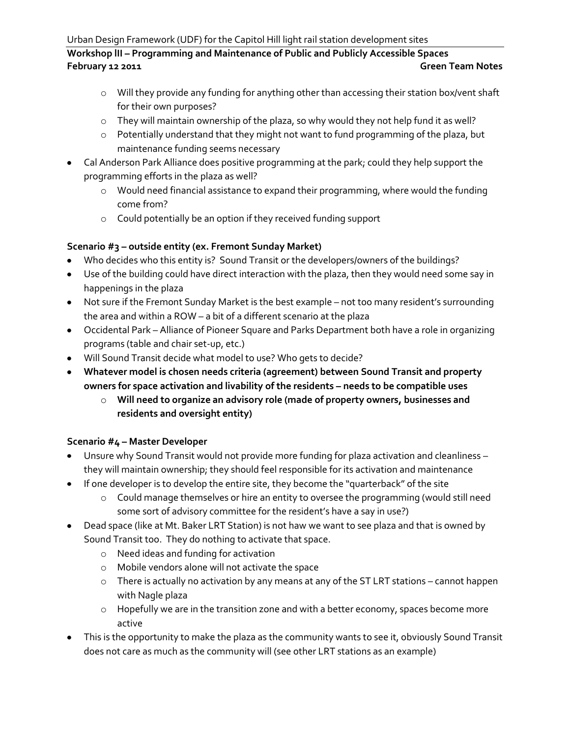# **Workshop lII – Programming and Maintenance of Public and Publicly Accessible Spaces February 12 2011 Green Team Notes**

- o Will they provide any funding for anything other than accessing their station box/vent shaft for their own purposes?
- o They will maintain ownership of the plaza, so why would they not help fund it as well?
- o Potentially understand that they might not want to fund programming of the plaza, but maintenance funding seems necessary
- Cal Anderson Park Alliance does positive programming at the park; could they help support the programming efforts in the plaza as well?
	- o Would need financial assistance to expand their programming, where would the funding come from?
	- o Could potentially be an option if they received funding support

### **Scenario #3 – outside entity (ex. Fremont Sunday Market)**

- Who decides who this entity is? Sound Transit or the developers/owners of the buildings?
- Use of the building could have direct interaction with the plaza, then they would need some say in happenings in the plaza
- Not sure if the Fremont Sunday Market is the best example not too many resident's surrounding the area and within a ROW – a bit of a different scenario at the plaza
- Occidental Park Alliance of Pioneer Square and Parks Department both have a role in organizing programs (table and chair set-up, etc.)
- Will Sound Transit decide what model to use? Who gets to decide?
- **Whatever model is chosen needs criteria (agreement) between Sound Transit and property owners for space activation and livability of the residents – needs to be compatible uses** 
	- o **Will need to organize an advisory role (made of property owners, businesses and residents and oversight entity)**

### **Scenario #4 – Master Developer**

- Unsure why Sound Transit would not provide more funding for plaza activation and cleanliness they will maintain ownership; they should feel responsible for its activation and maintenance
- If one developer is to develop the entire site, they become the "quarterback" of the site
	- o Could manage themselves or hire an entity to oversee the programming (would still need some sort of advisory committee for the resident's have a say in use?)
- Dead space (like at Mt. Baker LRT Station) is not haw we want to see plaza and that is owned by Sound Transit too. They do nothing to activate that space.
	- o Need ideas and funding for activation
	- o Mobile vendors alone will not activate the space
	- o There is actually no activation by any means at any of the ST LRT stations cannot happen with Nagle plaza
	- o Hopefully we are in the transition zone and with a better economy, spaces become more active
- This is the opportunity to make the plaza as the community wants to see it, obviously Sound Transit does not care as much as the community will (see other LRT stations as an example)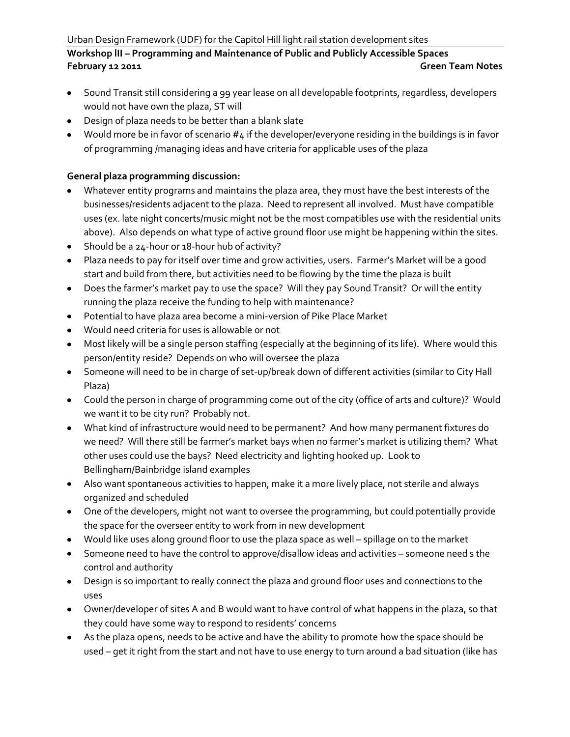# **Workshop lII – Programming and Maintenance of Public and Publicly Accessible Spaces February 12 2011 Green Team Notes**

- Sound Transit still considering a 99 year lease on all developable footprints, regardless, developers would not have own the plaza, ST will
- Design of plaza needs to be better than a blank slate
- Would more be in favor of scenario #4 if the developer/everyone residing in the buildings is in favor of programming /managing ideas and have criteria for applicable uses of the plaza

### **General plaza programming discussion:**

- Whatever entity programs and maintains the plaza area, they must have the best interests of the businesses/residents adjacent to the plaza. Need to represent all involved. Must have compatible uses (ex. late night concerts/music might not be the most compatibles use with the residential units above). Also depends on what type of active ground floor use might be happening within the sites.
- Should be a 24-hour or 18-hour hub of activity?
- Plaza needs to pay for itself over time and grow activities, users. Farmer's Market will be a good start and build from there, but activities need to be flowing by the time the plaza is built
- Does the farmer's market pay to use the space? Will they pay Sound Transit? Or will the entity running the plaza receive the funding to help with maintenance?
- Potential to have plaza area become a mini-version of Pike Place Market
- Would need criteria for uses is allowable or not
- Most likely will be a single person staffing (especially at the beginning of its life). Where would this person/entity reside? Depends on who will oversee the plaza
- Someone will need to be in charge of set-up/break down of different activities (similar to City Hall Plaza)
- Could the person in charge of programming come out of the city (office of arts and culture)? Would we want it to be city run? Probably not.
- What kind of infrastructure would need to be permanent? And how many permanent fixtures do we need? Will there still be farmer's market bays when no farmer's market is utilizing them? What other uses could use the bays? Need electricity and lighting hooked up. Look to Bellingham/Bainbridge island examples
- Also want spontaneous activities to happen, make it a more lively place, not sterile and always organized and scheduled
- One of the developers, might not want to oversee the programming, but could potentially provide the space for the overseer entity to work from in new development
- Would like uses along ground floor to use the plaza space as well spillage on to the market
- Someone need to have the control to approve/disallow ideas and activities someone need s the control and authority
- Design is so important to really connect the plaza and ground floor uses and connections to the uses
- Owner/developer of sites A and B would want to have control of what happens in the plaza, so that they could have some way to respond to residents' concerns
- As the plaza opens, needs to be active and have the ability to promote how the space should be used – get it right from the start and not have to use energy to turn around a bad situation (like has